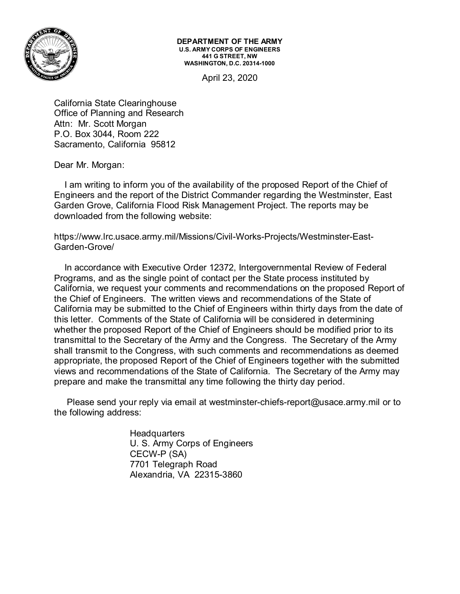

**DEPARTMENT OF THE ARMY U.S. ARMY CORPS OF ENGINEERS 441 G STREET, NW WASHINGTON, D.C. 20314-1000**

April 23, 2020

California State Clearinghouse Office of Planning and Research Attn: Mr. Scott Morgan P.O. Box 3044, Room 222 Sacramento, California 95812

Dear Mr. Morgan:

 I am writing to inform you of the availability of the proposed Report of the Chief of Engineers and the report of the District Commander regarding the Westminster, East Garden Grove, California Flood Risk Management Project. The reports may be downloaded from the following website:

[https://www.lrc.usace.army.mil/Missions/Civil-Works-Projects/Westminster-East-](https://www.lrc.usace.army.mil/Missions/Civil-Works-Projects/Westminster-East-Garden-Grove/)[Garden-Grove/](https://www.lrc.usace.army.mil/Missions/Civil-Works-Projects/Westminster-East-Garden-Grove/)

 In accordance with Executive Order 12372, Intergovernmental Review of Federal Programs, and as the single point of contact per the State process instituted by California, we request your comments and recommendations on the proposed Report of the Chief of Engineers. The written views and recommendations of the State of California may be submitted to the Chief of Engineers within thirty days from the date of this letter. Comments of the State of California will be considered in determining whether the proposed Report of the Chief of Engineers should be modified prior to its transmittal to the Secretary of the Army and the Congress. The Secretary of the Army shall transmit to the Congress, with such comments and recommendations as deemed appropriate, the proposed Report of the Chief of Engineers together with the submitted views and recommendations of the State of California. The Secretary of the Army may prepare and make the transmittal any time following the thirty day period.

 Please send your reply via email at westminster-chiefs-report@usace.army.mil or to the following address:

> **Headquarters** U. S. Army Corps of Engineers CECW-P (SA) 7701 Telegraph Road Alexandria, VA 22315-3860